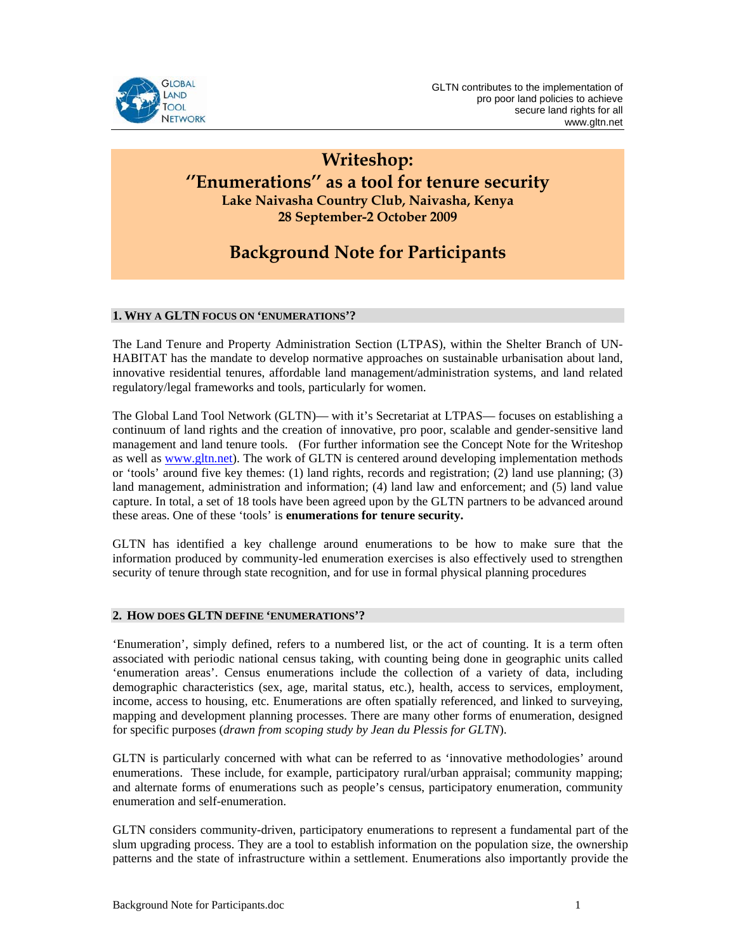

# **Writeshop: ''Enumerations'' as a tool for tenure security Lake Naivasha Country Club, Naivasha, Kenya 28 September-2 October 2009**

# **Background Note for Participants**

## **1. WHY A GLTN FOCUS ON 'ENUMERATIONS'?**

The Land Tenure and Property Administration Section (LTPAS), within the Shelter Branch of UN-HABITAT has the mandate to develop normative approaches on sustainable urbanisation about land, innovative residential tenures, affordable land management/administration systems, and land related regulatory/legal frameworks and tools, particularly for women.

The Global Land Tool Network (GLTN)— with it's Secretariat at LTPAS— focuses on establishing a continuum of land rights and the creation of innovative, pro poor, scalable and gender-sensitive land management and land tenure tools. (For further information see the Concept Note for the Writeshop as well as www.gltn.net). The work of GLTN is centered around developing implementation methods or 'tools' around five key themes: (1) land rights, records and registration; (2) land use planning; (3) land management, administration and information; (4) land law and enforcement; and (5) land value capture. In total, a set of 18 tools have been agreed upon by the GLTN partners to be advanced around these areas. One of these 'tools' is **enumerations for tenure security.**

GLTN has identified a key challenge around enumerations to be how to make sure that the information produced by community-led enumeration exercises is also effectively used to strengthen security of tenure through state recognition, and for use in formal physical planning procedures

### **2. HOW DOES GLTN DEFINE 'ENUMERATIONS'?**

'Enumeration', simply defined, refers to a numbered list, or the act of counting. It is a term often associated with periodic national census taking, with counting being done in geographic units called 'enumeration areas'. Census enumerations include the collection of a variety of data, including demographic characteristics (sex, age, marital status, etc.), health, access to services, employment, income, access to housing, etc. Enumerations are often spatially referenced, and linked to surveying, mapping and development planning processes. There are many other forms of enumeration, designed for specific purposes (*drawn from scoping study by Jean du Plessis for GLTN*).

GLTN is particularly concerned with what can be referred to as 'innovative methodologies' around enumerations. These include, for example, participatory rural/urban appraisal; community mapping; and alternate forms of enumerations such as people's census, participatory enumeration, community enumeration and self-enumeration.

GLTN considers community-driven, participatory enumerations to represent a fundamental part of the slum upgrading process. They are a tool to establish information on the population size, the ownership patterns and the state of infrastructure within a settlement. Enumerations also importantly provide the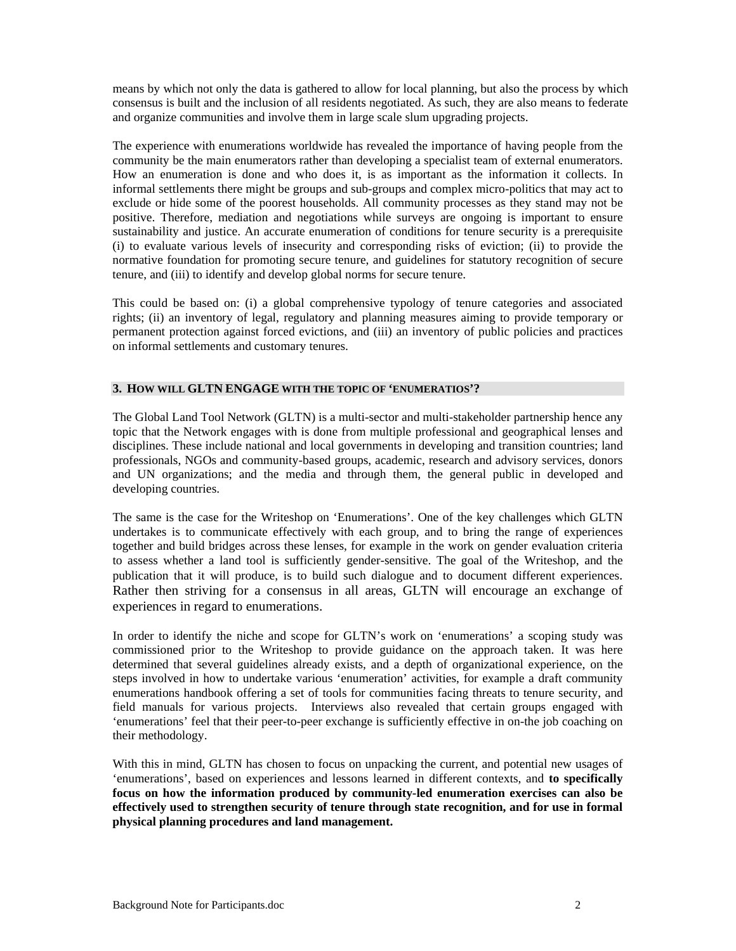means by which not only the data is gathered to allow for local planning, but also the process by which consensus is built and the inclusion of all residents negotiated. As such, they are also means to federate and organize communities and involve them in large scale slum upgrading projects.

The experience with enumerations worldwide has revealed the importance of having people from the community be the main enumerators rather than developing a specialist team of external enumerators. How an enumeration is done and who does it, is as important as the information it collects. In informal settlements there might be groups and sub-groups and complex micro-politics that may act to exclude or hide some of the poorest households. All community processes as they stand may not be positive. Therefore, mediation and negotiations while surveys are ongoing is important to ensure sustainability and justice. An accurate enumeration of conditions for tenure security is a prerequisite (i) to evaluate various levels of insecurity and corresponding risks of eviction; (ii) to provide the normative foundation for promoting secure tenure, and guidelines for statutory recognition of secure tenure, and (iii) to identify and develop global norms for secure tenure.

This could be based on: (i) a global comprehensive typology of tenure categories and associated rights; (ii) an inventory of legal, regulatory and planning measures aiming to provide temporary or permanent protection against forced evictions, and (iii) an inventory of public policies and practices on informal settlements and customary tenures.

#### **3. HOW WILL GLTN ENGAGE WITH THE TOPIC OF 'ENUMERATIOS'?**

The Global Land Tool Network (GLTN) is a multi-sector and multi-stakeholder partnership hence any topic that the Network engages with is done from multiple professional and geographical lenses and disciplines. These include national and local governments in developing and transition countries; land professionals, NGOs and community-based groups, academic, research and advisory services, donors and UN organizations; and the media and through them, the general public in developed and developing countries.

The same is the case for the Writeshop on 'Enumerations'. One of the key challenges which GLTN undertakes is to communicate effectively with each group, and to bring the range of experiences together and build bridges across these lenses, for example in the work on gender evaluation criteria to assess whether a land tool is sufficiently gender-sensitive. The goal of the Writeshop, and the publication that it will produce, is to build such dialogue and to document different experiences. Rather then striving for a consensus in all areas, GLTN will encourage an exchange of experiences in regard to enumerations.

 In order to identify the niche and scope for GLTN's work on 'enumerations' a scoping study was commissioned prior to the Writeshop to provide guidance on the approach taken. It was here determined that several guidelines already exists, and a depth of organizational experience, on the steps involved in how to undertake various 'enumeration' activities, for example a draft community enumerations handbook offering a set of tools for communities facing threats to tenure security, and field manuals for various projects. Interviews also revealed that certain groups engaged with 'enumerations' feel that their peer-to-peer exchange is sufficiently effective in on-the job coaching on their methodology.

 With this in mind, GLTN has chosen to focus on unpacking the current, and potential new usages of 'enumerations', based on experiences and lessons learned in different contexts, and **to specifically focus on how the information produced by community-led enumeration exercises can also be effectively used to strengthen security of tenure through state recognition, and for use in formal physical planning procedures and land management.**